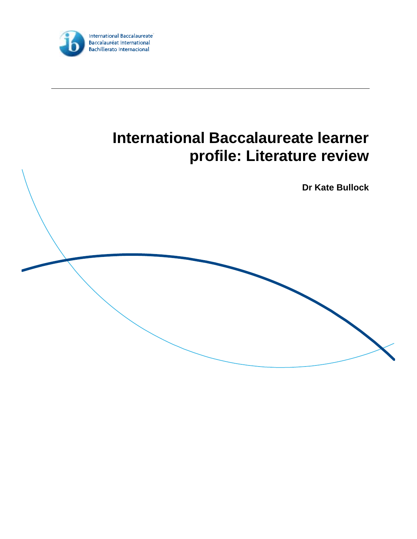

# **International Baccalaureate learner profile: Literature review**

**Dr Kate Bullock**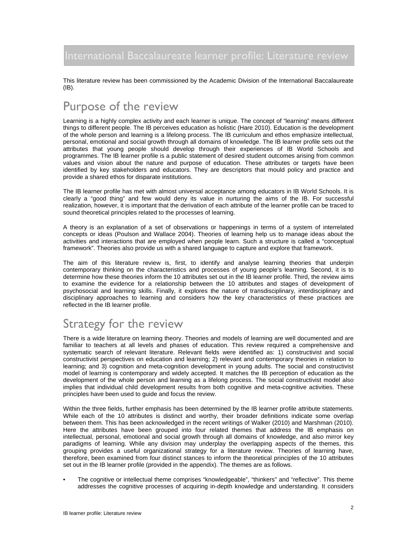International Baccalaureate learner profile: Literature review

This literature review has been commissioned by the Academic Division of the International Baccalaureate (IB).

# Purpose of the review

Learning is a highly complex activity and each learner is unique. The concept of "learning" means different things to different people. The IB perceives education as holistic (Hare 2010). Education is the development of the whole person and learning is a lifelong process. The IB curriculum and ethos emphasize intellectual, personal, emotional and social growth through all domains of knowledge. The IB learner profile sets out the attributes that young people should develop through their experiences of IB World Schools and programmes. The IB learner profile is a public statement of desired student outcomes arising from common values and vision about the nature and purpose of education. These attributes or targets have been identified by key stakeholders and educators. They are descriptors that mould policy and practice and provide a shared ethos for disparate institutions.

The IB learner profile has met with almost universal acceptance among educators in IB World Schools. It is clearly a "good thing" and few would deny its value in nurturing the aims of the IB. For successful realization, however, it is important that the derivation of each attribute of the learner profile can be traced to sound theoretical principles related to the processes of learning.

A theory is an explanation of a set of observations or happenings in terms of a system of interrelated concepts or ideas (Poulson and Wallace 2004). Theories of learning help us to manage ideas about the activities and interactions that are employed when people learn. Such a structure is called a "conceptual framework". Theories also provide us with a shared language to capture and explore that framework.

The aim of this literature review is, first, to identify and analyse learning theories that underpin contemporary thinking on the characteristics and processes of young people's learning. Second, it is to determine how these theories inform the 10 attributes set out in the IB learner profile. Third, the review aims to examine the evidence for a relationship between the 10 attributes and stages of development of psychosocial and learning skills. Finally, it explores the nature of transdisciplinary, interdisciplinary and disciplinary approaches to learning and considers how the key characteristics of these practices are reflected in the IB learner profile.

# Strategy for the review

There is a wide literature on learning theory. Theories and models of learning are well documented and are familiar to teachers at all levels and phases of education. This review required a comprehensive and systematic search of relevant literature. Relevant fields were identified as: 1) constructivist and social constructivist perspectives on education and learning; 2) relevant and contemporary theories in relation to learning; and 3) cognition and meta-cognition development in young adults. The social and constructivist model of learning is contemporary and widely accepted. It matches the IB perception of education as the development of the whole person and learning as a lifelong process. The social constructivist model also implies that individual child development results from both cognitive and meta-cognitive activities. These principles have been used to guide and focus the review.

Within the three fields, further emphasis has been determined by the IB learner profile attribute statements. While each of the 10 attributes is distinct and worthy, their broader definitions indicate some overlap between them. This has been acknowledged in the recent writings of Walker (2010) and Marshman (2010). Here the attributes have been grouped into four related themes that address the IB emphasis on intellectual, personal, emotional and social growth through all domains of knowledge, and also mirror key paradigms of learning. While any division may underplay the overlapping aspects of the themes, this grouping provides a useful organizational strategy for a literature review. Theories of learning have, therefore, been examined from four distinct stances to inform the theoretical principles of the 10 attributes set out in the IB learner profile (provided in the appendix). The themes are as follows.

• The cognitive or intellectual theme comprises "knowledgeable", "thinkers" and "reflective". This theme addresses the cognitive processes of acquiring in-depth knowledge and understanding. It considers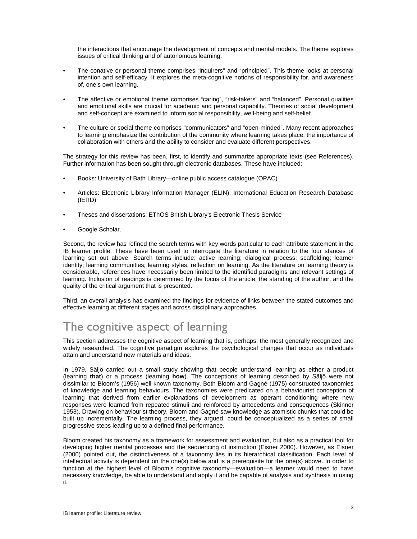the interactions that encourage the development of concepts and mental models. The theme explores issues of critical thinking and of autonomous learning.

- The conative or personal theme comprises "inquirers" and "principled". This theme looks at personal intention and self-efficacy. It explores the meta-cognitive notions of responsibility for, and awareness of, one's own learning.
- The affective or emotional theme comprises "caring", "risk-takers" and "balanced". Personal qualities and emotional skills are crucial for academic and personal capability. Theories of social development and self-concept are examined to inform social responsibility, well-being and self-belief.
- The culture or social theme comprises "communicators" and "open-minded". Many recent approaches to learning emphasize the contribution of the community where learning takes place, the importance of collaboration with others and the ability to consider and evaluate different perspectives.

The strategy for this review has been, first, to identify and summarize appropriate texts (see References). Further information has been sought through electronic databases. These have included:

- Books: University of Bath Library—online public access catalogue (OPAC)
- Articles: Electronic Library Information Manager (ELIN); International Education Research Database (IERD)
- Theses and dissertations: EThOS British Library's Electronic Thesis Service
- Google Scholar.

Second, the review has refined the search terms with key words particular to each attribute statement in the IB learner profile. These have been used to interrogate the literature in relation to the four stances of learning set out above. Search terms include: active learning; dialogical process; scaffolding; learner identity; learning communities; learning styles; reflection on learning. As the literature on learning theory is considerable, references have necessarily been limited to the identified paradigms and relevant settings of learning. Inclusion of readings is determined by the focus of the article, the standing of the author, and the quality of the critical argument that is presented.

Third, an overall analysis has examined the findings for evidence of links between the stated outcomes and effective learning at different stages and across disciplinary approaches.

# The cognitive aspect of learning

This section addresses the cognitive aspect of learning that is, perhaps, the most generally recognized and widely researched. The cognitive paradigm explores the psychological changes that occur as individuals attain and understand new materials and ideas.

In 1979, Säljö carried out a small study showing that people understand learning as either a product (learning **that**) or a process (learning **how**). The conceptions of learning described by Säljö were not dissimilar to Bloom's (1956) well-known taxonomy. Both Bloom and Gagné (1975) constructed taxonomies of knowledge and learning behaviours. The taxonomies were predicated on a behaviourist conception of learning that derived from earlier explanations of development as operant conditioning where new responses were learned from repeated stimuli and reinforced by antecedents and consequences (Skinner 1953). Drawing on behaviourist theory, Bloom and Gagné saw knowledge as atomistic chunks that could be built up incrementally. The learning process, they argued, could be conceptualized as a series of small progressive steps leading up to a defined final performance.

Bloom created his taxonomy as a framework for assessment and evaluation, but also as a practical tool for developing higher mental processes and the sequencing of instruction (Eisner 2000). However, as Eisner (2000) pointed out, the distinctiveness of a taxonomy lies in its hierarchical classification. Each level of intellectual activity is dependent on the one(s) below and is a prerequisite for the one(s) above. In order to function at the highest level of Bloom's cognitive taxonomy—evaluation—a learner would need to have necessary knowledge, be able to understand and apply it and be capable of analysis and synthesis in using it.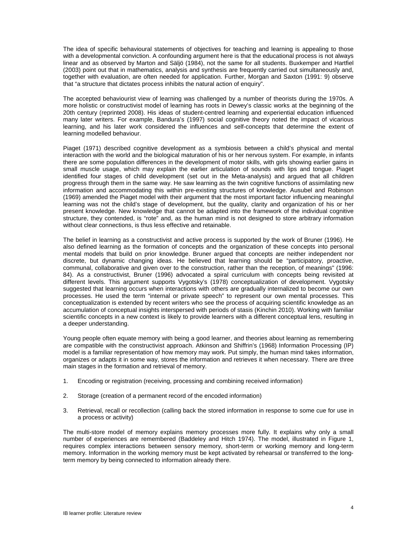The idea of specific behavioural statements of objectives for teaching and learning is appealing to those with a developmental conviction. A confounding argument here is that the educational process is not always linear and as observed by Marton and Säljö (1984), not the same for all students. Buxkemper and Hartfiel (2003) point out that in mathematics, analysis and synthesis are frequently carried out simultaneously and, together with evaluation, are often needed for application. Further, Morgan and Saxton (1991: 9) observe that "a structure that dictates process inhibits the natural action of enquiry".

The accepted behaviourist view of learning was challenged by a number of theorists during the 1970s. A more holistic or constructivist model of learning has roots in Dewey's classic works at the beginning of the 20th century (reprinted 2008). His ideas of student-centred learning and experiential education influenced many later writers. For example, Bandura's (1997) social cognitive theory noted the impact of vicarious learning, and his later work considered the influences and self-concepts that determine the extent of learning modelled behaviour.

Piaget (1971) described cognitive development as a symbiosis between a child's physical and mental interaction with the world and the biological maturation of his or her nervous system. For example, in infants there are some population differences in the development of motor skills, with girls showing earlier gains in small muscle usage, which may explain the earlier articulation of sounds with lips and tongue. Piaget identified four stages of child development (set out in the Meta-analysis) and argued that all children progress through them in the same way. He saw learning as the twin cognitive functions of assimilating new information and accommodating this within pre-existing structures of knowledge. Ausubel and Robinson (1969) amended the Piaget model with their argument that the most important factor influencing meaningful learning was not the child's stage of development, but the quality, clarity and organization of his or her present knowledge. New knowledge that cannot be adapted into the framework of the individual cognitive structure, they contended, is "rote" and, as the human mind is not designed to store arbitrary information without clear connections, is thus less effective and retainable.

The belief in learning as a constructivist and active process is supported by the work of Bruner (1996). He also defined learning as the formation of concepts and the organization of these concepts into personal mental models that build on prior knowledge. Bruner argued that concepts are neither independent nor discrete, but dynamic changing ideas. He believed that learning should be "participatory, proactive, communal, collaborative and given over to the construction, rather than the reception, of meanings" (1996: 84). As a constructivist, Bruner (1996) advocated a spiral curriculum with concepts being revisited at different levels. This argument supports Vygotsky's (1978) conceptualization of development. Vygotsky suggested that learning occurs when interactions with others are gradually internalized to become our own processes. He used the term "internal or private speech" to represent our own mental processes. This conceptualization is extended by recent writers who see the process of acquiring scientific knowledge as an accumulation of conceptual insights interspersed with periods of stasis (Kinchin 2010). Working with familiar scientific concepts in a new context is likely to provide learners with a different conceptual lens, resulting in a deeper understanding.

Young people often equate memory with being a good learner, and theories about learning as remembering are compatible with the constructivist approach. Atkinson and Shiffrin's (1968) Information Processing (IP) model is a familiar representation of how memory may work. Put simply, the human mind takes information, organizes or adapts it in some way, stores the information and retrieves it when necessary. There are three main stages in the formation and retrieval of memory.

- 1. Encoding or registration (receiving, processing and combining received information)
- 2. Storage (creation of a permanent record of the encoded information)
- 3. Retrieval, recall or recollection (calling back the stored information in response to some cue for use in a process or activity)

The multi-store model of memory explains memory processes more fully. It explains why only a small number of experiences are remembered (Baddeley and Hitch 1974). The model, illustrated in Figure 1, requires complex interactions between sensory memory, short-term or working memory and long-term memory. Information in the working memory must be kept activated by rehearsal or transferred to the longterm memory by being connected to information already there.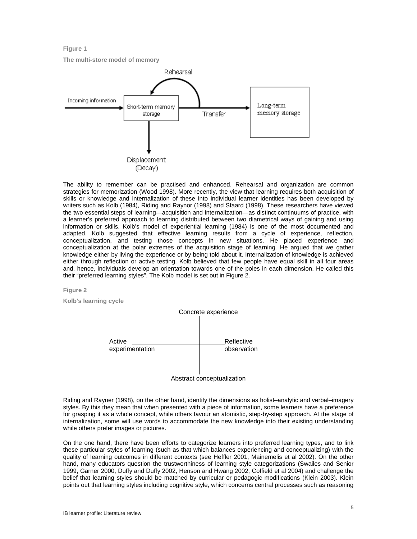**Figure 1** 

**The multi-store model of memory** 



The ability to remember can be practised and enhanced. Rehearsal and organization are common strategies for memorization (Wood 1998). More recently, the view that learning requires both acquisition of skills or knowledge and internalization of these into individual learner identities has been developed by writers such as Kolb (1984), Riding and Raynor (1998) and Sfaard (1998). These researchers have viewed the two essential steps of learning—acquisition and internalization—as distinct continuums of practice, with a learner's preferred approach to learning distributed between two diametrical ways of gaining and using information or skills. Kolb's model of experiential learning (1984) is one of the most documented and adapted. Kolb suggested that effective learning results from a cycle of experience, reflection, conceptualization, and testing those concepts in new situations. He placed experience and conceptualization at the polar extremes of the acquisition stage of learning. He argued that we gather knowledge either by living the experience or by being told about it. Internalization of knowledge is achieved either through reflection or active testing. Kolb believed that few people have equal skill in all four areas and, hence, individuals develop an orientation towards one of the poles in each dimension. He called this their "preferred learning styles". The Kolb model is set out in Figure 2.

#### **Figure 2**

**Kolb's learning cycle** 



Riding and Rayner (1998), on the other hand, identify the dimensions as holist–analytic and verbal–imagery styles. By this they mean that when presented with a piece of information, some learners have a preference for grasping it as a whole concept, while others favour an atomistic, step-by-step approach. At the stage of internalization, some will use words to accommodate the new knowledge into their existing understanding while others prefer images or pictures.

On the one hand, there have been efforts to categorize learners into preferred learning types, and to link these particular styles of learning (such as that which balances experiencing and conceptualizing) with the quality of learning outcomes in different contexts (see Heffler 2001, Mainemelis et al 2002). On the other hand, many educators question the trustworthiness of learning style categorizations (Swailes and Senior 1999, Garner 2000, Duffy and Duffy 2002, Henson and Hwang 2002, Coffield et al 2004) and challenge the belief that learning styles should be matched by curricular or pedagogic modifications (Klein 2003). Klein points out that learning styles including cognitive style, which concerns central processes such as reasoning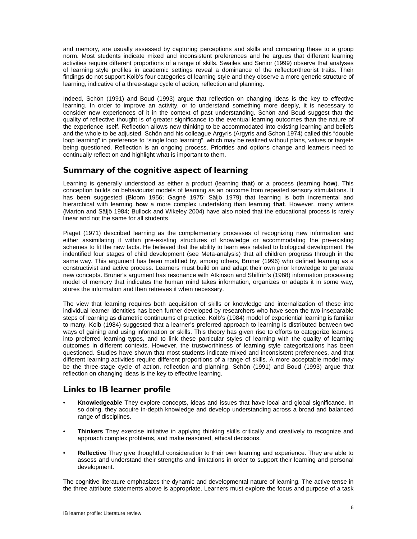and memory, are usually assessed by capturing perceptions and skills and comparing these to a group norm. Most students indicate mixed and inconsistent preferences and he argues that different learning activities require different proportions of a range of skills. Swailes and Senior (1999) observe that analyses of learning style profiles in academic settings reveal a dominance of the reflector/theorist traits. Their findings do not support Kolb's four categories of learning style and they observe a more generic structure of learning, indicative of a three-stage cycle of action, reflection and planning.

Indeed, Schön (1991) and Boud (1993) argue that reflection on changing ideas is the key to effective learning. In order to improve an activity, or to understand something more deeply, it is necessary to consider new experiences of it in the context of past understanding. Schön and Boud suggest that the quality of reflective thought is of greater significance to the eventual learning outcomes than the nature of the experience itself. Reflection allows new thinking to be accommodated into existing learning and beliefs and the whole to be adjusted. Schön and his colleague Argyris (Argyris and Schon 1974) called this "double loop learning" in preference to "single loop learning", which may be realized without plans, values or targets being questioned. Reflection is an ongoing process. Priorities and options change and learners need to continually reflect on and highlight what is important to them.

### **Summary of the cognitive aspect of learning**

Learning is generally understood as either a product (learning **that**) or a process (learning **how**). This conception builds on behaviourist models of learning as an outcome from repeated sensory stimulations. It has been suggested (Bloom 1956; Gagné 1975; Säljö 1979) that learning is both incremental and hierarchical with learning **how** a more complex undertaking than learning **that**. However, many writers (Marton and Säljö 1984; Bullock and Wikeley 2004) have also noted that the educational process is rarely linear and not the same for all students.

Piaget (1971) described learning as the complementary processes of recognizing new information and either assimilating it within pre-existing structures of knowledge or accommodating the pre-existing schemes to fit the new facts. He believed that the ability to learn was related to biological development. He indentified four stages of child development (see Meta-analysis) that all children progress through in the same way. This argument has been modified by, among others, Bruner (1996) who defined learning as a constructivist and active process. Learners must build on and adapt their own prior knowledge to generate new concepts. Bruner's argument has resonance with Atkinson and Shiffrin's (1968) information processing model of memory that indicates the human mind takes information, organizes or adapts it in some way, stores the information and then retrieves it when necessary.

The view that learning requires both acquisition of skills or knowledge and internalization of these into individual learner identities has been further developed by researchers who have seen the two inseparable steps of learning as diametric continuums of practice. Kolb's (1984) model of experiential learning is familiar to many. Kolb (1984) suggested that a learner's preferred approach to learning is distributed between two ways of gaining and using information or skills. This theory has given rise to efforts to categorize learners into preferred learning types, and to link these particular styles of learning with the quality of learning outcomes in different contexts. However, the trustworthiness of learning style categorizations has been questioned. Studies have shown that most students indicate mixed and inconsistent preferences, and that different learning activities require different proportions of a range of skills. A more acceptable model may be the three-stage cycle of action, reflection and planning. Schön (1991) and Boud (1993) argue that reflection on changing ideas is the key to effective learning.

### **Links to IB learner profile**

- **Knowledgeable** They explore concepts, ideas and issues that have local and global significance. In so doing, they acquire in-depth knowledge and develop understanding across a broad and balanced range of disciplines.
- **Thinkers** They exercise initiative in applying thinking skills critically and creatively to recognize and approach complex problems, and make reasoned, ethical decisions.
- **Reflective** They give thoughtful consideration to their own learning and experience. They are able to assess and understand their strengths and limitations in order to support their learning and personal development.

The cognitive literature emphasizes the dynamic and developmental nature of learning. The active tense in the three attribute statements above is appropriate. Learners must explore the focus and purpose of a task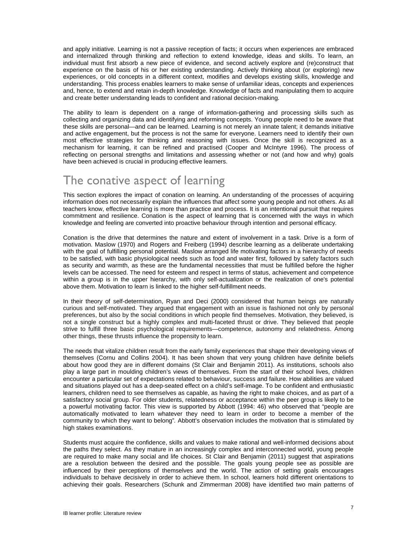and apply initiative. Learning is not a passive reception of facts; it occurs when experiences are embraced and internalized through thinking and reflection to extend knowledge, ideas and skills. To learn, an individual must first absorb a new piece of evidence, and second actively explore and (re)construct that experience on the basis of his or her existing understanding. Actively thinking about (or exploring) new experiences, or old concepts in a different context, modifies and develops existing skills, knowledge and understanding. This process enables learners to make sense of unfamiliar ideas, concepts and experiences and, hence, to extend and retain in-depth knowledge. Knowledge of facts and manipulating them to acquire and create better understanding leads to confident and rational decision-making.

The ability to learn is dependent on a range of information-gathering and processing skills such as collecting and organizing data and identifying and reforming concepts. Young people need to be aware that these skills are personal—and can be learned. Learning is not merely an innate talent; it demands initiative and active engagement, but the process is not the same for everyone. Learners need to identify their own most effective strategies for thinking and reasoning with issues. Once the skill is recognized as a mechanism for learning, it can be refined and practised (Cooper and McIntyre 1996). The process of reflecting on personal strengths and limitations and assessing whether or not (and how and why) goals have been achieved is crucial in producing effective learners.

# The conative aspect of learning

This section explores the impact of conation on learning. An understanding of the processes of acquiring information does not necessarily explain the influences that affect some young people and not others. As all teachers know, effective learning is more than practice and process. It is an intentional pursuit that requires commitment and resilience. Conation is the aspect of learning that is concerned with the ways in which knowledge and feeling are converted into proactive behaviour through intention and personal efficacy.

Conation is the drive that determines the nature and extent of involvement in a task. Drive is a form of motivation. Maslow (1970) and Rogers and Freiberg (1994) describe learning as a deliberate undertaking with the goal of fulfilling personal potential. Maslow arranged life motivating factors in a hierarchy of needs to be satisfied, with basic physiological needs such as food and water first, followed by safety factors such as security and warmth, as these are the fundamental necessities that must be fulfilled before the higher levels can be accessed. The need for esteem and respect in terms of status, achievement and competence within a group is in the upper hierarchy, with only self-actualization or the realization of one's potential above them. Motivation to learn is linked to the higher self-fulfillment needs.

In their theory of self-determination, Ryan and Deci (2000) considered that human beings are naturally curious and self-motivated. They argued that engagement with an issue is fashioned not only by personal preferences, but also by the social conditions in which people find themselves. Motivation, they believed, is not a single construct but a highly complex and multi-faceted thrust or drive. They believed that people strive to fulfill three basic psychological requirements—competence, autonomy and relatedness. Among other things, these thrusts influence the propensity to learn.

The needs that vitalize children result from the early family experiences that shape their developing views of themselves (Cornu and Collins 2004). It has been shown that very young children have definite beliefs about how good they are in different domains (St Clair and Benjamin 2011). As institutions, schools also play a large part in moulding children's views of themselves. From the start of their school lives, children encounter a particular set of expectations related to behaviour, success and failure. How abilities are valued and situations played out has a deep-seated effect on a child's self-image. To be confident and enthusiastic learners, children need to see themselves as capable, as having the right to make choices, and as part of a satisfactory social group. For older students, relatedness or acceptance within the peer group is likely to be a powerful motivating factor. This view is supported by Abbott (1994: 46) who observed that "people are automatically motivated to learn whatever they need to learn in order to become a member of the community to which they want to belong"*.* Abbott's observation includes the motivation that is stimulated by high stakes examinations.

Students must acquire the confidence, skills and values to make rational and well-informed decisions about the paths they select. As they mature in an increasingly complex and interconnected world, young people are required to make many social and life choices. St Clair and Benjamin (2011) suggest that aspirations are a resolution between the desired and the possible. The goals young people see as possible are influenced by their perceptions of themselves and the world. The action of setting goals encourages individuals to behave decisively in order to achieve them. In school, learners hold different orientations to achieving their goals. Researchers (Schunk and Zimmerman 2008) have identified two main patterns of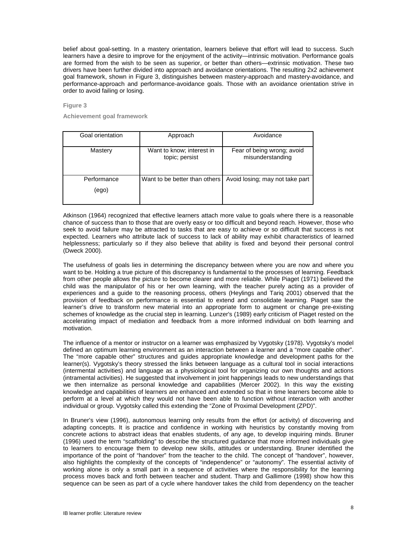belief about goal-setting. In a mastery orientation, learners believe that effort will lead to success. Such learners have a desire to improve for the enjoyment of the activity—intrinsic motivation. Performance goals are formed from the wish to be seen as superior, or better than others—extrinsic motivation. These two drivers have been further divided into approach and avoidance orientations. The resulting 2x2 achievement goal framework, shown in Figure 3, distinguishes between mastery-approach and mastery-avoidance, and performance-approach and performance-avoidance goals. Those with an avoidance orientation strive in order to avoid failing or losing.

**Figure 3** 

**Achievement goal framework** 

| Goal orientation     | Approach                                    | Avoidance                                      |
|----------------------|---------------------------------------------|------------------------------------------------|
| Mastery              | Want to know; interest in<br>topic; persist | Fear of being wrong; avoid<br>misunderstanding |
| Performance<br>(ego) | Want to be better than others               | Avoid losing; may not take part                |

Atkinson (1964) recognized that effective learners attach more value to goals where there is a reasonable chance of success than to those that are overly easy or too difficult and beyond reach. However, those who seek to avoid failure may be attracted to tasks that are easy to achieve or so difficult that success is not expected. Learners who attribute lack of success to lack of ability may exhibit characteristics of learned helplessness; particularly so if they also believe that ability is fixed and beyond their personal control (Dweck 2000).

The usefulness of goals lies in determining the discrepancy between where you are now and where you want to be. Holding a true picture of this discrepancy is fundamental to the processes of learning. Feedback from other people allows the picture to become clearer and more reliable. While Piaget (1971) believed the child was the manipulator of his or her own learning, with the teacher purely acting as a provider of experiences and a guide to the reasoning process, others (Heylings and Tariq 2001) observed that the provision of feedback on performance is essential to extend and consolidate learning. Piaget saw the learner's drive to transform new material into an appropriate form to augment or change pre-existing schemes of knowledge as the crucial step in learning. Lunzer's (1989) early criticism of Piaget rested on the accelerating impact of mediation and feedback from a more informed individual on both learning and motivation.

The influence of a mentor or instructor on a learner was emphasized by Vygotsky (1978). Vygotsky's model defined an optimum learning environment as an interaction between a learner and a "more capable other". The "more capable other" structures and guides appropriate knowledge and development paths for the learner(s). Vygotsky's theory stressed the links between language as a cultural tool in social interactions (intermental activities) and language as a physiological tool for organizing our own thoughts and actions (intramental activities). He suggested that involvement in joint happenings leads to new understandings that we then internalize as personal knowledge and capabilities (Mercer 2002). In this way the existing knowledge and capabilities of learners are enhanced and extended so that in time learners become able to perform at a level at which they would not have been able to function without interaction with another individual or group. Vygotsky called this extending the "Zone of Proximal Development (ZPD)".

In Bruner's view (1996), autonomous learning only results from the effort (or activity) of discovering and adapting concepts. It is practice and confidence in working with heuristics by constantly moving from concrete actions to abstract ideas that enables students, of any age, to develop inquiring minds. Bruner (1996) used the term "scaffolding" to describe the structured guidance that more informed individuals give to learners to encourage them to develop new skills, attitudes or understanding. Bruner identified the importance of the point of "handover" from the teacher to the child. The concept of "handover", however, also highlights the complexity of the concepts of "independence" or "autonomy". The essential activity of working alone is only a small part in a sequence of activities where the responsibility for the learning process moves back and forth between teacher and student. Tharp and Gallimore (1998) show how this sequence can be seen as part of a cycle where handover takes the child from dependency on the teacher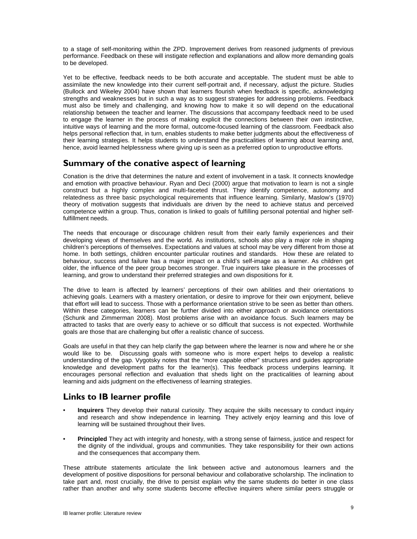to a stage of self-monitoring within the ZPD. Improvement derives from reasoned judgments of previous performance. Feedback on these will instigate reflection and explanations and allow more demanding goals to be developed.

Yet to be effective, feedback needs to be both accurate and acceptable. The student must be able to assimilate the new knowledge into their current self-portrait and, if necessary, adjust the picture. Studies (Bullock and Wikeley 2004) have shown that learners flourish when feedback is specific, acknowledging strengths and weaknesses but in such a way as to suggest strategies for addressing problems. Feedback must also be timely and challenging, and knowing how to make it so will depend on the educational relationship between the teacher and learner. The discussions that accompany feedback need to be used to engage the learner in the process of making explicit the connections between their own instinctive, intuitive ways of learning and the more formal, outcome-focused learning of the classroom. Feedback also helps personal reflection that, in turn, enables students to make better judgments about the effectiveness of their learning strategies. It helps students to understand the practicalities of learning about learning and, hence, avoid learned helplessness where giving up is seen as a preferred option to unproductive efforts.

### **Summary of the conative aspect of learning**

Conation is the drive that determines the nature and extent of involvement in a task. It connects knowledge and emotion with proactive behaviour. Ryan and Deci (2000) argue that motivation to learn is not a single construct but a highly complex and multi-faceted thrust. They identify competence, autonomy and relatedness as three basic psychological requirements that influence learning. Similarly, Maslow's (1970) theory of motivation suggests that individuals are driven by the need to achieve status and perceived competence within a group. Thus, conation is linked to goals of fulfilling personal potential and higher selffulfillment needs.

The needs that encourage or discourage children result from their early family experiences and their developing views of themselves and the world. As institutions, schools also play a major role in shaping children's perceptions of themselves. Expectations and values at school may be very different from those at home. In both settings, children encounter particular routines and standards. How these are related to behaviour, success and failure has a major impact on a child's self-image as a learner. As children get older, the influence of the peer group becomes stronger. True inquirers take pleasure in the processes of learning, and grow to understand their preferred strategies and own dispositions for it.

The drive to learn is affected by learners' perceptions of their own abilities and their orientations to achieving goals. Learners with a mastery orientation, or desire to improve for their own enjoyment, believe that effort will lead to success. Those with a performance orientation strive to be seen as better than others. Within these categories, learners can be further divided into either approach or avoidance orientations (Schunk and Zimmerman 2008). Most problems arise with an avoidance focus. Such learners may be attracted to tasks that are overly easy to achieve or so difficult that success is not expected. Worthwhile goals are those that are challenging but offer a realistic chance of success.

Goals are useful in that they can help clarify the gap between where the learner is now and where he or she would like to be. Discussing goals with someone who is more expert helps to develop a realistic understanding of the gap. Vygotsky notes that the "more capable other" structures and guides appropriate knowledge and development paths for the learner(s). This feedback process underpins learning. It encourages personal reflection and evaluation that sheds light on the practicalities of learning about learning and aids judgment on the effectiveness of learning strategies.

# **Links to IB learner profile**

- **Inquirers** They develop their natural curiosity. They acquire the skills necessary to conduct inquiry and research and show independence in learning*.* They actively enjoy learning and this love of learning will be sustained throughout their lives.
- **Principled** They act with integrity and honesty, with a strong sense of fairness, justice and respect for the dignity of the individual, groups and communities. They take responsibility for their own actions and the consequences that accompany them.

These attribute statements articulate the link between active and autonomous learners and the development of positive dispositions for personal behaviour and collaborative scholarship. The inclination to take part and, most crucially, the drive to persist explain why the same students do better in one class rather than another and why some students become effective inquirers where similar peers struggle or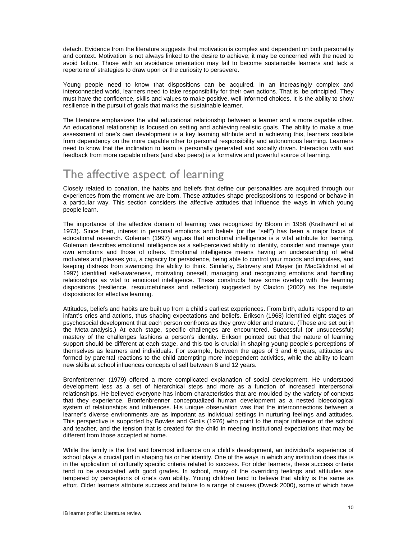detach. Evidence from the literature suggests that motivation is complex and dependent on both personality and context. Motivation is not always linked to the desire to achieve; it may be concerned with the need to avoid failure. Those with an avoidance orientation may fail to become sustainable learners and lack a repertoire of strategies to draw upon or the curiosity to persevere.

Young people need to know that dispositions can be acquired. In an increasingly complex and interconnected world, learners need to take responsibility for their own actions. That is, be principled. They must have the confidence, skills and values to make positive, well-informed choices. It is the ability to show resilience in the pursuit of goals that marks the sustainable learner.

The literature emphasizes the vital educational relationship between a learner and a more capable other. An educational relationship is focused on setting and achieving realistic goals. The ability to make a true assessment of one's own development is a key learning attribute and in achieving this, learners oscillate from dependency on the more capable other to personal responsibility and autonomous learning. Learners need to know that the inclination to learn is personally generated and socially driven. Interaction with and feedback from more capable others (and also peers) is a formative and powerful source of learning.

# The affective aspect of learning

Closely related to conation, the habits and beliefs that define our personalities are acquired through our experiences from the moment we are born. These attitudes shape predispositions to respond or behave in a particular way. This section considers the affective attitudes that influence the ways in which young people learn.

The importance of the affective domain of learning was recognized by Bloom in 1956 (Krathwohl et al 1973). Since then, interest in personal emotions and beliefs (or the "self") has been a major focus of educational research. Goleman (1997) argues that emotional intelligence is a vital attribute for learning. Goleman describes emotional intelligence as a self-perceived ability to identify, consider and manage your own emotions and those of others. Emotional intelligence means having an understanding of what motivates and pleases you, a capacity for persistence, being able to control your moods and impulses, and keeping distress from swamping the ability to think. Similarly, Salovery and Mayer (in MacGilchrist et al 1997) identified self-awareness, motivating oneself, managing and recognizing emotions and handling relationships as vital to emotional intelligence. These constructs have some overlap with the learning dispositions (resilience, resourcefulness and reflection) suggested by Claxton (2002) as the requisite dispositions for effective learning.

Attitudes, beliefs and habits are built up from a child's earliest experiences. From birth, adults respond to an infant's cries and actions, thus shaping expectations and beliefs. Erikson (1968) identified eight stages of psychosocial development that each person confronts as they grow older and mature. (These are set out in the Meta-analysis.) At each stage, specific challenges are encountered. Successful (or unsuccessful) mastery of the challenges fashions a person's identity. Erikson pointed out that the nature of learning support should be different at each stage, and this too is crucial in shaping young people's perceptions of themselves as learners and individuals. For example, between the ages of 3 and 6 years, attitudes are formed by parental reactions to the child attempting more independent activities, while the ability to learn new skills at school influences concepts of self between 6 and 12 years.

Bronfenbrenner (1979) offered a more complicated explanation of social development. He understood development less as a set of hierarchical steps and more as a function of increased interpersonal relationships. He believed everyone has inborn characteristics that are moulded by the variety of contexts that they experience. Bronfenbrenner conceptualized human development as a nested bioecological system of relationships and influences. His unique observation was that the interconnections between a learner's diverse environments are as important as individual settings in nurturing feelings and attitudes. This perspective is supported by Bowles and Gintis (1976) who point to the major influence of the school and teacher, and the tension that is created for the child in meeting institutional expectations that may be different from those accepted at home.

While the family is the first and foremost influence on a child's development, an individual's experience of school plays a crucial part in shaping his or her identity. One of the ways in which any institution does this is in the application of culturally specific criteria related to success. For older learners, these success criteria tend to be associated with good grades. In school, many of the overriding feelings and attitudes are tempered by perceptions of one's own ability. Young children tend to believe that ability is the same as effort. Older learners attribute success and failure to a range of causes (Dweck 2000), some of which have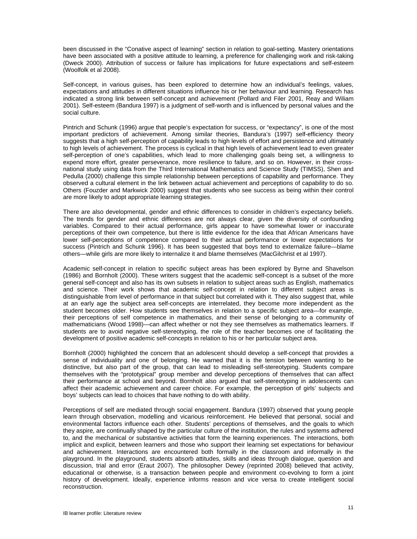been discussed in the "Conative aspect of learning" section in relation to goal-setting. Mastery orientations have been associated with a positive attitude to learning, a preference for challenging work and risk-taking (Dweck 2000). Attribution of success or failure has implications for future expectations and self-esteem (Woolfolk et al 2008).

Self-concept, in various guises, has been explored to determine how an individual's feelings, values, expectations and attitudes in different situations influence his or her behaviour and learning. Research has indicated a strong link between self-concept and achievement (Pollard and Filer 2001, Reay and Wiliam 2001). Self-esteem (Bandura 1997) is a judgment of self-worth and is influenced by personal values and the social culture.

Pintrich and Schunk (1996) argue that people's expectation for success, or "expectancy", is one of the most important predictors of achievement. Among similar theories, Bandura's (1997) self-efficiency theory suggests that a high self-perception of capability leads to high levels of effort and persistence and ultimately to high levels of achievement. The process is cyclical in that high levels of achievement lead to even greater self-perception of one's capabilities, which lead to more challenging goals being set, a willingness to expend more effort, greater perseverance, more resilience to failure, and so on. However, in their crossnational study using data from the Third International Mathematics and Science Study (TIMSS), Shen and Pedulla (2000) challenge this simple relationship between perceptions of capability and performance. They observed a cultural element in the link between actual achievement and perceptions of capability to do so. Others (Fouzder and Markwick 2000) suggest that students who see success as being within their control are more likely to adopt appropriate learning strategies.

There are also developmental, gender and ethnic differences to consider in children's expectancy beliefs. The trends for gender and ethnic differences are not always clear, given the diversity of confounding variables. Compared to their actual performance, girls appear to have somewhat lower or inaccurate perceptions of their own competence, but there is little evidence for the idea that African Americans have lower self-perceptions of competence compared to their actual performance or lower expectations for success (Pintrich and Schunk 1996). It has been suggested that boys tend to externalize failure—blame others—while girls are more likely to internalize it and blame themselves (MacGilchrist et al 1997).

Academic self-concept in relation to specific subject areas has been explored by Byrne and Shavelson (1986) and Bornholt (2000). These writers suggest that the academic self-concept is a subset of the more general self-concept and also has its own subsets in relation to subject areas such as English, mathematics and science. Their work shows that academic self-concept in relation to different subject areas is distinguishable from level of performance in that subject but correlated with it. They also suggest that, while at an early age the subject area self-concepts are interrelated, they become more independent as the student becomes older. How students see themselves in relation to a specific subject area—for example, their perceptions of self competence in mathematics, and their sense of belonging to a community of mathematicians (Wood 1998)—can affect whether or not they see themselves as mathematics learners. If students are to avoid negative self-stereotyping, the role of the teacher becomes one of facilitating the development of positive academic self-concepts in relation to his or her particular subject area.

Bornholt (2000) highlighted the concern that an adolescent should develop a self-concept that provides a sense of individuality and one of belonging. He warned that it is the tension between wanting to be distinctive, but also part of the group, that can lead to misleading self-stereotyping. Students compare themselves with the "prototypical" group member and develop perceptions of themselves that can affect their performance at school and beyond. Bornholt also argued that self-stereotyping in adolescents can affect their academic achievement and career choice. For example, the perception of girls' subjects and boys' subjects can lead to choices that have nothing to do with ability.

Perceptions of self are mediated through social engagement. Bandura (1997) observed that young people learn through observation, modelling and vicarious reinforcement. He believed that personal, social and environmental factors influence each other. Students' perceptions of themselves, and the goals to which they aspire, are continually shaped by the particular culture of the institution, the rules and systems adhered to, and the mechanical or substantive activities that form the learning experiences. The interactions, both implicit and explicit, between learners and those who support their learning set expectations for behaviour and achievement. Interactions are encountered both formally in the classroom and informally in the playground. In the playground, students absorb attitudes, skills and ideas through dialogue, question and discussion, trial and error (Eraut 2007). The philosopher Dewey (reprinted 2008) believed that activity, educational or otherwise, is a transaction between people and environment co-evolving to form a joint history of development. Ideally, experience informs reason and vice versa to create intelligent social reconstruction.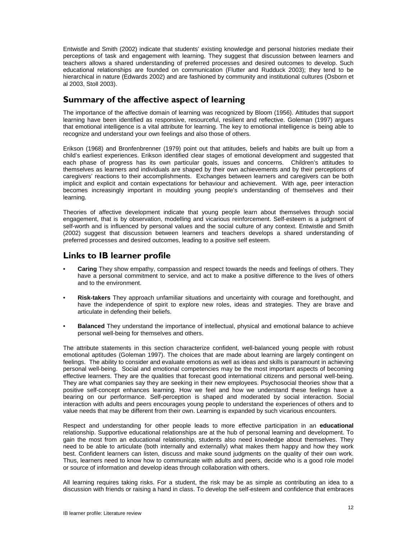Entwistle and Smith (2002) indicate that students' existing knowledge and personal histories mediate their perceptions of task and engagement with learning. They suggest that discussion between learners and teachers allows a shared understanding of preferred processes and desired outcomes to develop. Such educational relationships are founded on communication (Flutter and Rudduck 2003); they tend to be hierarchical in nature (Edwards 2002) and are fashioned by community and institutional cultures (Osborn et al 2003, Stoll 2003).

### **Summary of the affective aspect of learning**

The importance of the affective domain of learning was recognized by Bloom (1956). Attitudes that support learning have been identified as responsive, resourceful, resilient and reflective. Goleman (1997) argues that emotional intelligence is a vital attribute for learning. The key to emotional intelligence is being able to recognize and understand your own feelings and also those of others.

Erikson (1968) and Bronfenbrenner (1979) point out that attitudes, beliefs and habits are built up from a child's earliest experiences. Erikson identified clear stages of emotional development and suggested that each phase of progress has its own particular goals, issues and concerns. Children's attitudes to themselves as learners and individuals are shaped by their own achievements and by their perceptions of caregivers' reactions to their accomplishments. Exchanges between learners and caregivers can be both implicit and explicit and contain expectations for behaviour and achievement. With age, peer interaction becomes increasingly important in moulding young people's understanding of themselves and their learning.

Theories of affective development indicate that young people learn about themselves through social engagement, that is by observation, modelling and vicarious reinforcement. Self-esteem is a judgment of self-worth and is influenced by personal values and the social culture of any context. Entwistle and Smith (2002) suggest that discussion between learners and teachers develops a shared understanding of preferred processes and desired outcomes, leading to a positive self esteem.

### **Links to IB learner profile**

- **Caring** They show empathy, compassion and respect towards the needs and feelings of others. They have a personal commitment to service, and act to make a positive difference to the lives of others and to the environment.
- **Risk-takers** They approach unfamiliar situations and uncertainty with courage and forethought, and have the independence of spirit to explore new roles, ideas and strategies. They are brave and articulate in defending their beliefs.
- **Balanced** They understand the importance of intellectual, physical and emotional balance to achieve personal well-being for themselves and others.

The attribute statements in this section characterize confident, well-balanced young people with robust emotional aptitudes (Goleman 1997). The choices that are made about learning are largely contingent on feelings. The ability to consider and evaluate emotions as well as ideas and skills is paramount in achieving personal well-being. Social and emotional competencies may be the most important aspects of becoming effective learners. They are the qualities that forecast good international citizens and personal well-being. They are what companies say they are seeking in their new employees. Psychosocial theories show that a positive self-concept enhances learning. How we feel and how we understand these feelings have a bearing on our performance. Self-perception is shaped and moderated by social interaction. Social interaction with adults and peers encourages young people to understand the experiences of others and to value needs that may be different from their own. Learning is expanded by such vicarious encounters.

Respect and understanding for other people leads to more effective participation in an **educational** relationship. Supportive educational relationships are at the hub of personal learning and development. To gain the most from an educational relationship, students also need knowledge about themselves. They need to be able to articulate (both internally and externally) what makes them happy and how they work best. Confident learners can listen, discuss and make sound judgments on the quality of their own work. Thus, learners need to know how to communicate with adults and peers, decide who is a good role model or source of information and develop ideas through collaboration with others.

All learning requires taking risks. For a student, the risk may be as simple as contributing an idea to a discussion with friends or raising a hand in class. To develop the self-esteem and confidence that embraces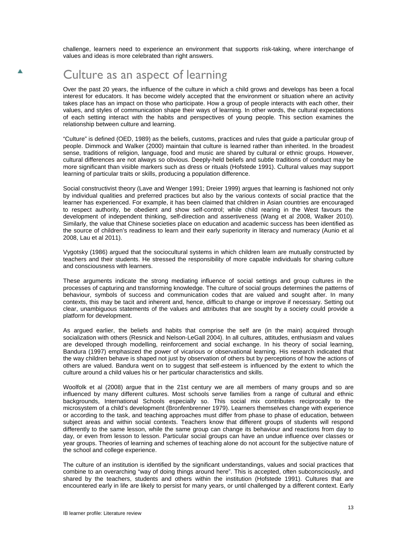challenge, learners need to experience an environment that supports risk-taking, where interchange of values and ideas is more celebrated than right answers.

# Culture as an aspect of learning

Over the past 20 years, the influence of the culture in which a child grows and develops has been a focal interest for educators. It has become widely accepted that the environment or situation where an activity takes place has an impact on those who participate. How a group of people interacts with each other, their values, and styles of communication shape their ways of learning. In other words, the cultural expectations of each setting interact with the habits and perspectives of young people. This section examines the relationship between culture and learning.

"Culture" is defined (OED, 1989) as the beliefs, customs, practices and rules that guide a particular group of people. Dimmock and Walker (2000) maintain that culture is learned rather than inherited. In the broadest sense, traditions of religion, language, food and music are shared by cultural or ethnic groups. However, cultural differences are not always so obvious. Deeply-held beliefs and subtle traditions of conduct may be more significant than visible markers such as dress or rituals (Hofstede 1991). Cultural values may support learning of particular traits or skills, producing a population difference.

Social constructivist theory (Lave and Wenger 1991; Dreier 1999) argues that learning is fashioned not only by individual qualities and preferred practices but also by the various contexts of social practice that the learner has experienced. For example, it has been claimed that children in Asian countries are encouraged to respect authority, be obedient and show self-control; while child rearing in the West favours the development of independent thinking, self-direction and assertiveness (Wang et al 2008, Walker 2010). Similarly, the value that Chinese societies place on education and academic success has been identified as the source of children's readiness to learn and their early superiority in literacy and numeracy (Aunio et al 2008, Lau et al 2011).

Vygotsky (1986) argued that the sociocultural systems in which children learn are mutually constructed by teachers and their students. He stressed the responsibility of more capable individuals for sharing culture and consciousness with learners.

These arguments indicate the strong mediating influence of social settings and group cultures in the processes of capturing and transforming knowledge. The culture of social groups determines the patterns of behaviour, symbols of success and communication codes that are valued and sought after. In many contexts, this may be tacit and inherent and, hence, difficult to change or improve if necessary. Setting out clear, unambiguous statements of the values and attributes that are sought by a society could provide a platform for development.

As argued earlier, the beliefs and habits that comprise the self are (in the main) acquired through socialization with others (Resnick and Nelson-LeGall 2004). In all cultures, attitudes, enthusiasm and values are developed through modelling, reinforcement and social exchange. In his theory of social learning, Bandura (1997) emphasized the power of vicarious or observational learning. His research indicated that the way children behave is shaped not just by observation of others but by perceptions of how the actions of others are valued. Bandura went on to suggest that self-esteem is influenced by the extent to which the culture around a child values his or her particular characteristics and skills.

Woolfolk et al (2008) argue that in the 21st century we are all members of many groups and so are influenced by many different cultures. Most schools serve families from a range of cultural and ethnic backgrounds, International Schools especially so. This social mix contributes reciprocally to the microsystem of a child's development (Bronfenbrenner 1979). Learners themselves change with experience or according to the task, and teaching approaches must differ from phase to phase of education, between subject areas and within social contexts. Teachers know that different groups of students will respond differently to the same lesson, while the same group can change its behaviour and reactions from day to day, or even from lesson to lesson. Particular social groups can have an undue influence over classes or year groups. Theories of learning and schemes of teaching alone do not account for the subjective nature of the school and college experience.

The culture of an institution is identified by the significant understandings, values and social practices that combine to an overarching "way of doing things around here". This is accepted, often subconsciously, and shared by the teachers, students and others within the institution (Hofstede 1991). Cultures that are encountered early in life are likely to persist for many years, or until challenged by a different context. Early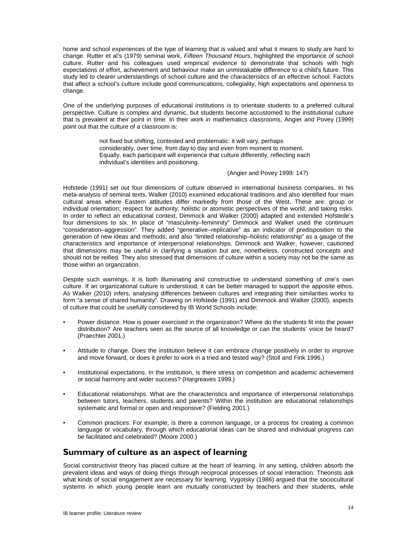home and school experiences of the type of learning that is valued and what it means to study are hard to change. Rutter et al's (1979) seminal work, *Fifteen Thousand Hours*, highlighted the importance of school culture. Rutter and his colleagues used empirical evidence to demonstrate that schools with high expectations of effort, achievement and behaviour make an unmistakable difference to a child's future. This study led to clearer understandings of school culture and the characteristics of an effective school. Factors that affect a school's culture include good communications, collegiality, high expectations and openness to change.

One of the underlying purposes of educational institutions is to orientate students to a preferred cultural perspective. Culture is complex and dynamic, but students become accustomed to the institutional culture that is prevalent at their point in time. In their work in mathematics classrooms, Angier and Povey (1999) point out that the culture of a classroom is:

> not fixed but shifting, contested and problematic: it will vary, perhaps considerably, over time, from day to day and even from moment to moment. Equally, each participant will experience that culture differently, reflecting each individual's identities and positioning.

#### (Angier and Povey 1999: 147)

Hofstede (1991) set out four dimensions of culture observed in international business companies. In his meta-analysis of seminal texts, Walker (2010) examined educational traditions and also identified four main cultural areas where Eastern attitudes differ markedly from those of the West. These are: group or individual orientation; respect for authority; holistic or atomistic perspectives of the world; and taking risks. In order to reflect an educational context, Dimmock and Walker (2000) adapted and extended Hofstede's four dimensions to six. In place of "masculinity–femininity" Dimmock and Walker used the continuum "consideration–aggression". They added "generative–replicative" as an indicator of predisposition to the generation of new ideas and methods; and also "limited relationship–holistic relationship" as a gauge of the characteristics and importance of interpersonal relationships. Dimmock and Walker, however, cautioned that dimensions may be useful in clarifying a situation but are, nonetheless, constructed concepts and should not be reified. They also stressed that dimensions of culture within a society may not be the same as those within an organization.

Despite such warnings, it is both illuminating and constructive to understand something of one's own culture. If an organizational culture is understood, it can be better managed to support the apposite ethos. As Walker (2010) infers, analysing differences between cultures and integrating their similarities works to form "a sense of shared humanity". Drawing on Hofstede (1991) and Dimmock and Walker (2000), aspects of culture that could be usefully considered by IB World Schools include:

- Power distance. How is power exercised in the organization? Where do the students fit into the power distribution? Are teachers seen as the source of all knowledge or can the students' voice be heard? (Praechter 2001.)
- Attitude to change. Does the institution believe it can embrace change positively in order to improve and move forward, or does it prefer to work in a tried and tested way? (Stoll and Fink 1996.)
- Institutional expectations. In the institution, is there stress on competition and academic achievement or social harmony and wider success? (Hargreaves 1999.)
- Educational relationships. What are the characteristics and importance of interpersonal relationships between tutors, teachers, students and parents? Within the institution are educational relationships systematic and formal or open and responsive? (Fielding 2001.)
- Common practices. For example, is there a common language, or a process for creating a common language or vocabulary, through which educational ideas can be shared and individual progress can be facilitated and celebrated? (Moore 2000.)

### **Summary of culture as an aspect of learning**

Social constructivist theory has placed culture at the heart of learning. In any setting, children absorb the prevalent ideas and ways of doing things through reciprocal processes of social interaction. Theorists ask what kinds of social engagement are necessary for learning. Vygotsky (1986) argued that the sociocultural systems in which young people learn are mutually constructed by teachers and their students, while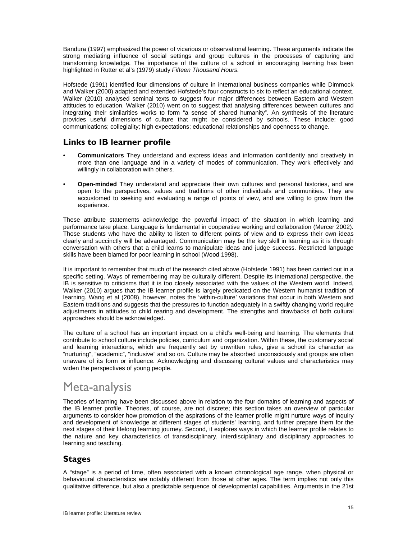Bandura (1997) emphasized the power of vicarious or observational learning. These arguments indicate the strong mediating influence of social settings and group cultures in the processes of capturing and transforming knowledge. The importance of the culture of a school in encouraging learning has been highlighted in Rutter et al's (1979) study *Fifteen Thousand Hours.*

Hofstede (1991) identified four dimensions of culture in international business companies while Dimmock and Walker (2000) adapted and extended Hofstede's four constructs to six to reflect an educational context. Walker (2010) analysed seminal texts to suggest four major differences between Eastern and Western attitudes to education. Walker (2010) went on to suggest that analysing differences between cultures and integrating their similarities works to form "a sense of shared humanity". An synthesis of the literature provides useful dimensions of culture that might be considered by schools. These include: good communications; collegiality; high expectations; educational relationships and openness to change.

### **Links to IB learner profile**

- **Communicators** They understand and express ideas and information confidently and creatively in more than one language and in a variety of modes of communication. They work effectively and willingly in collaboration with others.
- **Open-minded** They understand and appreciate their own cultures and personal histories, and are open to the perspectives, values and traditions of other individuals and communities. They are accustomed to seeking and evaluating a range of points of view, and are willing to grow from the experience.

These attribute statements acknowledge the powerful impact of the situation in which learning and performance take place. Language is fundamental in cooperative working and collaboration (Mercer 2002). Those students who have the ability to listen to different points of view and to express their own ideas clearly and succinctly will be advantaged. Communication may be the key skill in learning as it is through conversation with others that a child learns to manipulate ideas and judge success. Restricted language skills have been blamed for poor learning in school (Wood 1998).

It is important to remember that much of the research cited above (Hofstede 1991) has been carried out in a specific setting. Ways of remembering may be culturally different. Despite its international perspective, the IB is sensitive to criticisms that it is too closely associated with the values of the Western world. Indeed, Walker (2010) argues that the IB learner profile is largely predicated on the Western humanist tradition of learning. Wang et al (2008), however, notes the 'within-culture' variations that occur in both Western and Eastern traditions and suggests that the pressures to function adequately in a swiftly changing world require adjustments in attitudes to child rearing and development. The strengths and drawbacks of both cultural approaches should be acknowledged.

The culture of a school has an important impact on a child's well-being and learning. The elements that contribute to school culture include policies, curriculum and organization. Within these, the customary social and learning interactions, which are frequently set by unwritten rules, give a school its character as "nurturing", "academic", "inclusive" and so on. Culture may be absorbed unconsciously and groups are often unaware of its form or influence. Acknowledging and discussing cultural values and characteristics may widen the perspectives of young people.

# Meta-analysis

Theories of learning have been discussed above in relation to the four domains of learning and aspects of the IB learner profile. Theories, of course, are not discrete; this section takes an overview of particular arguments to consider how promotion of the aspirations of the learner profile might nurture ways of inquiry and development of knowledge at different stages of students' learning, and further prepare them for the next stages of their lifelong learning journey. Second, it explores ways in which the learner profile relates to the nature and key characteristics of transdisciplinary, interdisciplinary and disciplinary approaches to learning and teaching.

### **Stages**

A "stage" is a period of time, often associated with a known chronological age range, when physical or behavioural characteristics are notably different from those at other ages. The term implies not only this qualitative difference, but also a predictable sequence of developmental capabilities. Arguments in the 21st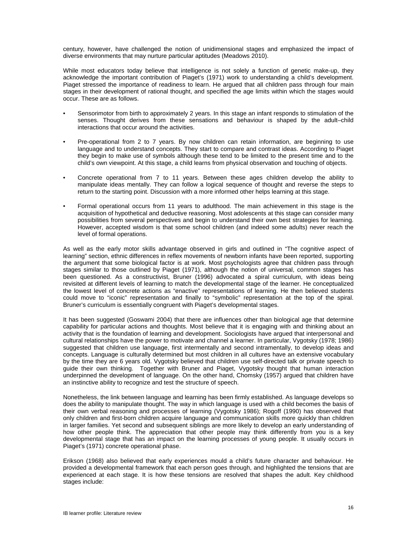century, however, have challenged the notion of unidimensional stages and emphasized the impact of diverse environments that may nurture particular aptitudes (Meadows 2010).

While most educators today believe that intelligence is not solely a function of genetic make-up, they acknowledge the important contribution of Piaget's (1971) work to understanding a child's development. Piaget stressed the importance of readiness to learn. He argued that all children pass through four main stages in their development of rational thought, and specified the age limits within which the stages would occur. These are as follows.

- Sensorimotor from birth to approximately 2 years. In this stage an infant responds to stimulation of the senses. Thought derives from these sensations and behaviour is shaped by the adult–child interactions that occur around the activities.
- Pre-operational from 2 to 7 years. By now children can retain information, are beginning to use language and to understand concepts. They start to compare and contrast ideas. According to Piaget they begin to make use of symbols although these tend to be limited to the present time and to the child's own viewpoint. At this stage, a child learns from physical observation and touching of objects.
- Concrete operational from 7 to 11 years. Between these ages children develop the ability to manipulate ideas mentally. They can follow a logical sequence of thought and reverse the steps to return to the starting point. Discussion with a more informed other helps learning at this stage.
- Formal operational occurs from 11 years to adulthood. The main achievement in this stage is the acquisition of hypothetical and deductive reasoning. Most adolescents at this stage can consider many possibilities from several perspectives and begin to understand their own best strategies for learning. However, accepted wisdom is that some school children (and indeed some adults) never reach the level of formal operations.

As well as the early motor skills advantage observed in girls and outlined in "The cognitive aspect of learning" section, ethnic differences in reflex movements of newborn infants have been reported, supporting the argument that some biological factor is at work. Most psychologists agree that children pass through stages similar to those outlined by Piaget (1971), although the notion of universal, common stages has been questioned. As a constructivist, Bruner (1996) advocated a spiral curriculum, with ideas being revisited at different levels of learning to match the developmental stage of the learner. He conceptualized the lowest level of concrete actions as "enactive" representations of learning. He then believed students could move to "iconic" representation and finally to "symbolic" representation at the top of the spiral. Bruner's curriculum is essentially congruent with Piaget's developmental stages.

It has been suggested (Goswami 2004) that there are influences other than biological age that determine capability for particular actions and thoughts. Most believe that it is engaging with and thinking about an activity that is the foundation of learning and development. Sociologists have argued that interpersonal and cultural relationships have the power to motivate and channel a learner. In particular, Vygotsky (1978; 1986) suggested that children use language, first intermentally and second intramentally, to develop ideas and concepts. Language is culturally determined but most children in all cultures have an extensive vocabulary by the time they are 6 years old. Vygotsky believed that children use self-directed talk or private speech to guide their own thinking. Together with Bruner and Piaget, Vygotsky thought that human interaction underpinned the development of language. On the other hand, Chomsky (1957) argued that children have an instinctive ability to recognize and test the structure of speech.

Nonetheless, the link between language and learning has been firmly established. As language develops so does the ability to manipulate thought. The way in which language is used with a child becomes the basis of their own verbal reasoning and processes of learning (Vygotsky 1986); Rogoff (1990) has observed that only children and first-born children acquire language and communication skills more quickly than children in larger families. Yet second and subsequent siblings are more likely to develop an early understanding of how other people think. The appreciation that other people may think differently from you is a key developmental stage that has an impact on the learning processes of young people. It usually occurs in Piaget's (1971) concrete operational phase.

Erikson (1968) also believed that early experiences mould a child's future character and behaviour. He provided a developmental framework that each person goes through, and highlighted the tensions that are experienced at each stage. It is how these tensions are resolved that shapes the adult. Key childhood stages include: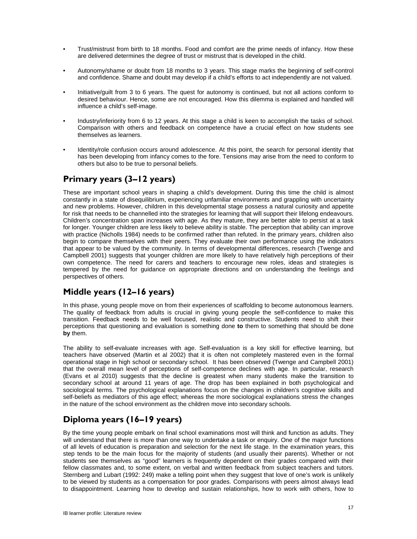- Trust/mistrust from birth to 18 months. Food and comfort are the prime needs of infancy. How these are delivered determines the degree of trust or mistrust that is developed in the child.
- Autonomy/shame or doubt from 18 months to 3 years. This stage marks the beginning of self-control and confidence. Shame and doubt may develop if a child's efforts to act independently are not valued.
- Initiative/guilt from 3 to 6 years. The quest for autonomy is continued, but not all actions conform to desired behaviour. Hence, some are not encouraged. How this dilemma is explained and handled will influence a child's self-image.
- Industry/inferiority from 6 to 12 years. At this stage a child is keen to accomplish the tasks of school. Comparison with others and feedback on competence have a crucial effect on how students see themselves as learners.
- Identity/role confusion occurs around adolescence. At this point, the search for personal identity that has been developing from infancy comes to the fore. Tensions may arise from the need to conform to others but also to be true to personal beliefs.

# **Primary years (3–12 years)**

These are important school years in shaping a child's development. During this time the child is almost constantly in a state of disequilibrium, experiencing unfamiliar environments and grappling with uncertainty and new problems. However, children in this developmental stage possess a natural curiosity and appetite for risk that needs to be channelled into the strategies for learning that will support their lifelong endeavours. Children's concentration span increases with age. As they mature, they are better able to persist at a task for longer. Younger children are less likely to believe ability is stable. The perception that ability can improve with practice (Nicholls 1984) needs to be confirmed rather than refuted. In the primary years, children also begin to compare themselves with their peers. They evaluate their own performance using the indicators that appear to be valued by the community. In terms of developmental differences, research (Twenge and Campbell 2001) suggests that younger children are more likely to have relatively high perceptions of their own competence. The need for carers and teachers to encourage new roles, ideas and strategies is tempered by the need for guidance on appropriate directions and on understanding the feelings and perspectives of others.

# **Middle years (12–16 years)**

In this phase, young people move on from their experiences of scaffolding to become autonomous learners. The quality of feedback from adults is crucial in giving young people the self-confidence to make this transition. Feedback needs to be well focused, realistic and constructive. Students need to shift their perceptions that questioning and evaluation is something done **to** them to something that should be done **by** them.

The ability to self-evaluate increases with age. Self-evaluation is a key skill for effective learning, but teachers have observed (Martin et al 2002) that it is often not completely mastered even in the formal operational stage in high school or secondary school. It has been observed (Twenge and Campbell 2001) that the overall mean level of perceptions of self-competence declines with age. In particular, research (Evans et al 2010) suggests that the decline is greatest when many students make the transition to secondary school at around 11 years of age. The drop has been explained in both psychological and sociological terms. The psychological explanations focus on the changes in children's cognitive skills and self-beliefs as mediators of this age effect; whereas the more sociological explanations stress the changes in the nature of the school environment as the children move into secondary schools.

# **Diploma years (16–19 years)**

By the time young people embark on final school examinations most will think and function as adults. They will understand that there is more than one way to undertake a task or enquiry. One of the major functions of all levels of education is preparation and selection for the next life stage. In the examination years, this step tends to be the main focus for the majority of students (and usually their parents). Whether or not students see themselves as "good" learners is frequently dependent on their grades compared with their fellow classmates and, to some extent, on verbal and written feedback from subject teachers and tutors. Sternberg and Lubart (1992: 249) make a telling point when they suggest that love of one's work is unlikely to be viewed by students as a compensation for poor grades. Comparisons with peers almost always lead to disappointment. Learning how to develop and sustain relationships, how to work with others, how to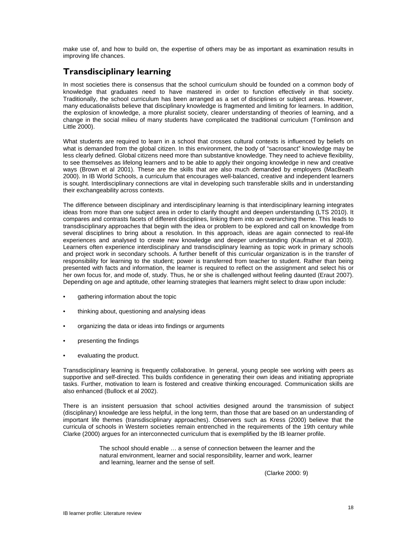make use of, and how to build on, the expertise of others may be as important as examination results in improving life chances.

# **Transdisciplinary learning**

In most societies there is consensus that the school curriculum should be founded on a common body of knowledge that graduates need to have mastered in order to function effectively in that society. Traditionally, the school curriculum has been arranged as a set of disciplines or subject areas. However, many educationalists believe that disciplinary knowledge is fragmented and limiting for learners. In addition, the explosion of knowledge, a more pluralist society, clearer understanding of theories of learning, and a change in the social milieu of many students have complicated the traditional curriculum (Tomlinson and Little 2000).

What students are required to learn in a school that crosses cultural contexts is influenced by beliefs on what is demanded from the global citizen. In this environment, the body of "sacrosanct" knowledge may be less clearly defined. Global citizens need more than substantive knowledge. They need to achieve flexibility, to see themselves as lifelong learners and to be able to apply their ongoing knowledge in new and creative ways (Brown et al 2001). These are the skills that are also much demanded by employers (MacBeath 2000). In IB World Schools, a curriculum that encourages well-balanced, creative and independent learners is sought. Interdisciplinary connections are vital in developing such transferable skills and in understanding their exchangeability across contexts.

The difference between disciplinary and interdisciplinary learning is that interdisciplinary learning integrates ideas from more than one subject area in order to clarify thought and deepen understanding (LTS 2010). It compares and contrasts facets of different disciplines, linking them into an overarching theme. This leads to transdisciplinary approaches that begin with the idea or problem to be explored and call on knowledge from several disciplines to bring about a resolution. In this approach, ideas are again connected to real-life experiences and analysed to create new knowledge and deeper understanding (Kaufman et al 2003). Learners often experience interdisciplinary and transdisciplinary learning as topic work in primary schools and project work in secondary schools. A further benefit of this curricular organization is in the transfer of responsibility for learning to the student; power is transferred from teacher to student. Rather than being presented with facts and information, the learner is required to reflect on the assignment and select his or her own focus for, and mode of, study. Thus, he or she is challenged without feeling daunted (Eraut 2007). Depending on age and aptitude, other learning strategies that learners might select to draw upon include:

- gathering information about the topic
- thinking about, questioning and analysing ideas
- organizing the data or ideas into findings or arguments
- presenting the findings
- evaluating the product.

Transdisciplinary learning is frequently collaborative. In general, young people see working with peers as supportive and self-directed. This builds confidence in generating their own ideas and initiating appropriate tasks. Further, motivation to learn is fostered and creative thinking encouraged. Communication skills are also enhanced (Bullock et al 2002).

There is an insistent persuasion that school activities designed around the transmission of subject (disciplinary) knowledge are less helpful, in the long term, than those that are based on an understanding of important life themes (transdisciplinary approaches). Observers such as Kress (2000) believe that the curricula of schools in Western societies remain entrenched in the requirements of the 19th century while Clarke (2000) argues for an interconnected curriculum that is exemplified by the IB learner profile.

> The school should enable … a sense of connection between the learner and the natural environment, learner and social responsibility, learner and work, learner and learning, learner and the sense of self.

> > (Clarke 2000: 9)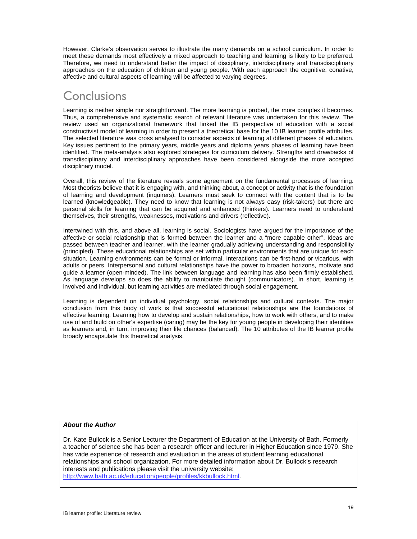However, Clarke's observation serves to illustrate the many demands on a school curriculum. In order to meet these demands most effectively a mixed approach to teaching and learning is likely to be preferred. Therefore, we need to understand better the impact of disciplinary, interdisciplinary and transdisciplinary approaches on the education of children and young people. With each approach the cognitive, conative, affective and cultural aspects of learning will be affected to varying degrees.

# **Conclusions**

Learning is neither simple nor straightforward. The more learning is probed, the more complex it becomes. Thus, a comprehensive and systematic search of relevant literature was undertaken for this review. The review used an organizational framework that linked the IB perspective of education with a social constructivist model of learning in order to present a theoretical base for the 10 IB learner profile attributes. The selected literature was cross analysed to consider aspects of learning at different phases of education. Key issues pertinent to the primary years, middle years and diploma years phases of learning have been identified. The meta-analysis also explored strategies for curriculum delivery. Strengths and drawbacks of transdisciplinary and interdisciplinary approaches have been considered alongside the more accepted disciplinary model.

Overall, this review of the literature reveals some agreement on the fundamental processes of learning. Most theorists believe that it is engaging with, and thinking about, a concept or activity that is the foundation of learning and development (inquirers). Learners must seek to connect with the content that is to be learned (knowledgeable). They need to know that learning is not always easy (risk-takers) but there are personal skills for learning that can be acquired and enhanced (thinkers). Learners need to understand themselves, their strengths, weaknesses, motivations and drivers (reflective).

Intertwined with this, and above all, learning is social. Sociologists have argued for the importance of the affective or social relationship that is formed between the learner and a "more capable other". Ideas are passed between teacher and learner, with the learner gradually achieving understanding and responsibility (principled). These educational relationships are set within particular environments that are unique for each situation. Learning environments can be formal or informal. Interactions can be first-hand or vicarious, with adults or peers. Interpersonal and cultural relationships have the power to broaden horizons, motivate and guide a learner (open-minded). The link between language and learning has also been firmly established. As language develops so does the ability to manipulate thought (communicators). In short, learning is involved and individual, but learning activities are mediated through social engagement.

Learning is dependent on individual psychology, social relationships and cultural contexts. The major conclusion from this body of work is that successful educational relationships are the foundations of effective learning. Learning how to develop and sustain relationships, how to work with others, and to make use of and build on other's expertise (caring) may be the key for young people in developing their identities as learners and, in turn, improving their life chances (balanced). The 10 attributes of the IB learner profile broadly encapsulate this theoretical analysis.

### *About the Author*

Dr. Kate Bullock is a Senior Lecturer the Department of Education at the University of Bath. Formerly a teacher of science she has been a research officer and lecturer in Higher Education since 1979. She has wide experience of research and evaluation in the areas of student learning educational relationships and school organization. For more detailed information about Dr. Bullock's research interests and publications please visit the university website: http://www.bath.ac.uk/education/people/profiles/kkbullock.html.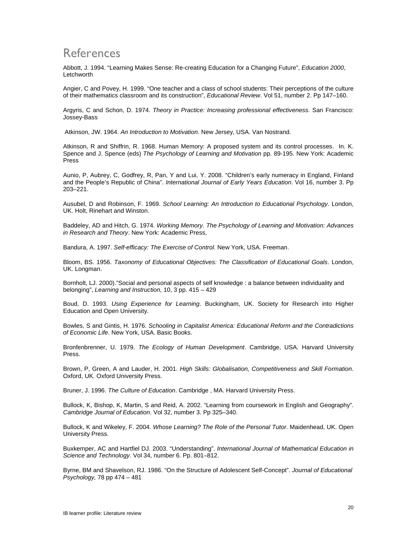# References

Abbott, J. 1994. "Learning Makes Sense: Re-creating Education for a Changing Future", *Education 2000*, Letchworth

Angier, C and Povey, H. 1999. "One teacher and a class of school students: Their perceptions of the culture of their mathematics classroom and its construction", *Educational Review*. Vol 51, number 2. Pp 147–160.

Argyris, C and Schon, D. 1974. *Theory in Practice: Increasing professional effectiveness.* San Francisco: Jossey-Bass

Atkinson, JW. 1964. *An Introduction to Motivation*. New Jersey, USA. Van Nostrand.

Atkinson, R and Shiffrin, R. 1968. Human Memory: A proposed system and its control processes. In. K. Spence and J. Spence (eds) *The Psychology of Learning and Motivation* pp. 89-195. New York: Academic Press

Aunio, P, Aubrey, C, Godfrey, R, Pan, Y and Lui, Y. 2008. "Children's early numeracy in England, Finland and the People's Republic of China". *International Journal of Early Years Education*. Vol 16, number 3. Pp 203–221.

Ausubel, D and Robinson, F. 1969. *School Learning: An Introduction to Educational Psychology*. London, UK. Holt, Rinehart and Winston.

Baddeley, AD and Hitch, G. 1974. *Working Memory. The Psychology of Learning and Motivation: Advances in Research and Theory*. New York: Academic Press,

Bandura, A. 1997. *Self-efficacy: The Exercise of Control*. New York, USA. Freeman.

Bloom, BS. 1956. *Taxonomy of Educational Objectives: The Classification of Educational Goals*. London, UK. Longman.

Bornholt, LJ. 2000)."Social and personal aspects of self knowledge : a balance between individuality and belonging", *Learning and Instruction,* 10, 3 pp. 415 – 429

Boud, D. 1993. *Using Experience for Learning*. Buckingham, UK. Society for Research into Higher Education and Open University.

Bowles, S and Gintis, H. 1976. *Schooling in Capitalist America: Educational Reform and the Contradictions of Economic Life*. New York, USA. Basic Books.

Bronfenbrenner, U. 1979. *The Ecology of Human Development*. Cambridge, USA. Harvard University Press.

Brown, P, Green, A and Lauder, H. 2001. *High Skills: Globalisation, Competitiveness and Skill Formation*. Oxford, UK. Oxford University Press.

Bruner, J. 1996. *The Culture of Education*. Cambridge , MA. Harvard University Press.

Bullock, K, Bishop, K, Martin, S and Reid, A. 2002. "Learning from coursework in English and Geography". *Cambridge Journal of Education*. Vol 32, number 3. Pp 325–340.

Bullock, K and Wikeley, F. 2004. *Whose Learning? The Role of the Personal Tutor*. Maidenhead, UK. Open University Press.

Buxkemper, AC and Hartfiel DJ. 2003. "Understanding". *International Journal of Mathematical Education in Science and Technology*. Vol 34, number 6. Pp. 801–812.

Byrne, BM and Shavelson, RJ. 1986. "On the Structure of Adolescent Self-Concept". *Journal of Educational Psychology,* 78 pp 474 – 481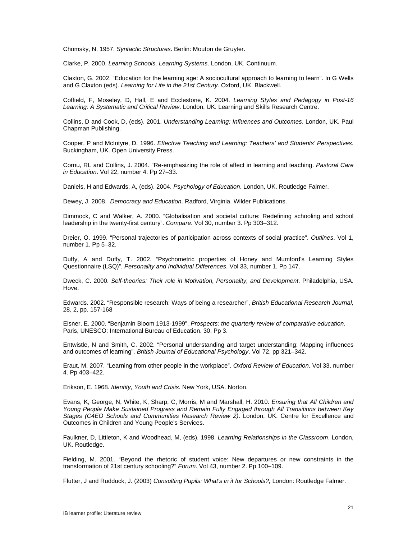Chomsky, N. 1957. *Syntactic Structures*. Berlin: Mouton de Gruyter.

Clarke, P. 2000. *Learning Schools, Learning Systems*. London, UK. Continuum.

Claxton, G. 2002. "Education for the learning age: A sociocultural approach to learning to learn". In G Wells and G Claxton (eds). *Learning for Life in the 21st Century*. Oxford, UK. Blackwell.

Coffield, F, Moseley, D, Hall, E and Ecclestone, K. 2004. *Learning Styles and Pedagogy in Post-16 Learning: A Systematic and Critical Review*. London, UK. Learning and Skills Research Centre.

Collins, D and Cook, D, (eds). 2001. *Understanding Learning: Influences and Outcomes*. London, UK. Paul Chapman Publishing.

Cooper, P and McIntyre, D. 1996. *Effective Teaching and Learning: Teachers' and Students' Perspectives*. Buckingham, UK. Open University Press.

Cornu, RL and Collins, J. 2004. "Re-emphasizing the role of affect in learning and teaching. *Pastoral Care in Education*. Vol 22, number 4. Pp 27–33.

Daniels, H and Edwards, A, (eds). 2004. *Psychology of Education*. London, UK. Routledge Falmer.

Dewey, J. 2008. *Democracy and Education*. Radford, Virginia. Wilder Publications.

Dimmock, C and Walker, A. 2000. "Globalisation and societal culture: Redefining schooling and school leadership in the twenty-first century". *Compare*. Vol 30, number 3. Pp 303–312.

Dreier, O. 1999. "Personal trajectories of participation across contexts of social practice". *Outlines*. Vol 1, number 1. Pp 5–32.

Duffy, A and Duffy, T. 2002. "Psychometric properties of Honey and Mumford's Learning Styles Questionnaire (LSQ)". *Personality and Individual Differences*. Vol 33, number 1. Pp 147.

Dweck, C. 2000. *Self-theories: Their role in Motivation, Personality, and Development*. Philadelphia, USA. Hove.

Edwards. 2002. "Responsible research: Ways of being a researcher", *British Educational Research Journal,*  28, 2, pp. 157-168

Eisner, E. 2000. "Benjamin Bloom 1913-1999", *Prospects: the quarterly review of comparative education.*  Paris, UNESCO: International Bureau of Education. 30, Pp 3.

Entwistle, N and Smith, C. 2002. "Personal understanding and target understanding: Mapping influences and outcomes of learning". *British Journal of Educational Psychology*. Vol 72, pp 321–342.

Eraut, M. 2007. "Learning from other people in the workplace". *Oxford Review of Education*. Vol 33, number 4. Pp 403–422.

Erikson, E. 1968. *Identity, Youth and Crisis*. New York, USA. Norton.

Evans, K, George, N, White, K, Sharp, C, Morris, M and Marshall, H. 2010. *Ensuring that All Children and Young People Make Sustained Progress and Remain Fully Engaged through All Transitions between Key Stages (C4EO Schools and Communities Research Review 2)*. London, UK. Centre for Excellence and Outcomes in Children and Young People's Services.

Faulkner, D, Littleton, K and Woodhead, M, (eds). 1998. *Learning Relationships in the Classroom*. London, UK. Routledge.

Fielding, M. 2001. "Beyond the rhetoric of student voice: New departures or new constraints in the transformation of 21st century schooling?" *Forum*. Vol 43, number 2. Pp 100–109.

Flutter, J and Rudduck, J. (2003) *Consulting Pupils: What's in it for Schools?,* London: Routledge Falmer.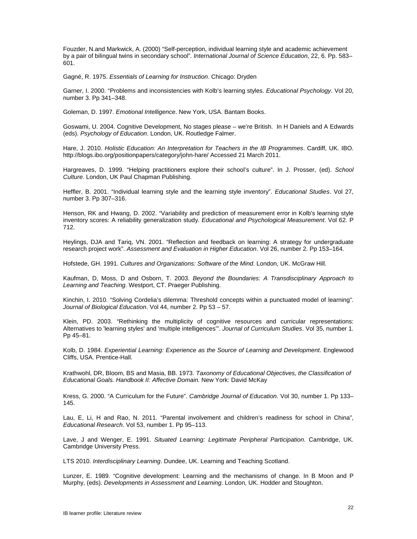Fouzder, N.and Markwick, A. (2000) "Self-perception, individual learning style and academic achievement by a pair of bilingual twins in secondary school". *International Journal of Science Education,* 22, 6. Pp. 583– 601.

Gagné, R. 1975. *Essentials of Learning for Instruction*. Chicago: Dryden

Garner, I. 2000. "Problems and inconsistencies with Kolb's learning styles. *Educational Psychology*. Vol 20, number 3. Pp 341–348.

Goleman, D. 1997. *Emotional Intelligence*. New York, USA. Bantam Books.

Goswami, U. 2004. Cognitive Development, No stages please – we're British. In H Daniels and A Edwards (eds). *Psychology of Education*. London, UK. Routledge Falmer.

Hare, J. 2010. *Holistic Education: An Interpretation for Teachers in the IB Programmes*. Cardiff, UK. IBO. http://blogs.ibo.org/positionpapers/category/john-hare/ Accessed 21 March 2011.

Hargreaves, D. 1999. "Helping practitioners explore their school's culture". In J. Prosser, (ed). *School Culture*. London, UK Paul Chapman Publishing.

Heffler, B. 2001. "Individual learning style and the learning style inventory". *Educational Studies*. Vol 27, number 3. Pp 307–316.

Henson, RK and Hwang, D. 2002. "Variability and prediction of measurement error in Kolb's learning style inventory scores: A reliability generalization study. *Educational and Psychological Measurement*. Vol 62. P 712.

Heylings, DJA and Tariq, VN. 2001. "Reflection and feedback on learning: A strategy for undergraduate research project work". *Assessment and Evaluation in Higher Education*. Vol 26, number 2. Pp 153–164.

Hofstede, GH. 1991. *Cultures and Organizations: Software of the Mind*. London, UK. McGraw Hill.

Kaufman, D, Moss, D and Osborn, T. 2003. *Beyond the Boundaries: A Transdisciplinary Approach to Learning and Teaching*. Westport, CT. Praeger Publishing.

Kinchin, I. 2010. "Solving Cordelia's dilemma: Threshold concepts within a punctuated model of learning". *Journal of Biological Education*. Vol 44, number 2. Pp 53 – 57.

Klein, PD. 2003. "Rethinking the multiplicity of cognitive resources and curricular representations: Alternatives to 'learning styles' and 'multiple intelligences'". *Journal of Curriculum Studies*. Vol 35, number 1. Pp 45–81.

Kolb, D. 1984. *Experiential Learning: Experience as the Source of Learning and Development*. Englewood Cliffs, USA. Prentice-Hall.

Krathwohl, DR, Bloom, BS and Masia, BB. 1973. *Taxonomy of Educational Objectives, the Classification of Educational Goals. Handbook II: Affective Domain.* New York: David McKay

Kress, G. 2000. "A Curriculum for the Future". *Cambridge Journal of Education*. Vol 30, number 1. Pp 133– 145.

Lau, E, Li, H and Rao, N. 2011. "Parental involvement and children's readiness for school in China", *Educational Research*. Vol 53, number 1. Pp 95–113.

Lave, J and Wenger, E. 1991. *Situated Learning: Legitimate Peripheral Participation*. Cambridge, UK. Cambridge University Press.

LTS 2010. *Interdisciplinary Learning*. Dundee, UK. Learning and Teaching Scotland.

Lunzer, E. 1989. "Cognitive development: Learning and the mechanisms of change. In B Moon and P Murphy, (eds). *Developments in Assessment and Learning*. London, UK. Hodder and Stoughton.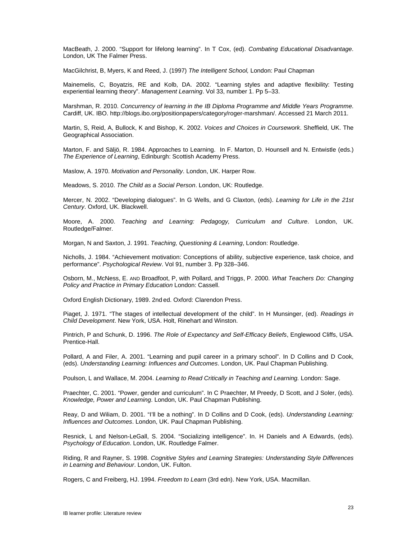MacBeath, J. 2000. "Support for lifelong learning". In T Cox, (ed). *Combating Educational Disadvantage*. London, UK The Falmer Press.

MacGilchrist, B, Myers, K and Reed, J. (1997) *The Intelligent School,* London: Paul Chapman

Mainemelis, C, Boyatzis, RE and Kolb, DA. 2002. "Learning styles and adaptive flexibility: Testing experiential learning theory". *Management Learning*. Vol 33, number 1. Pp 5–33.

Marshman, R. 2010. *Concurrency of learning in the IB Diploma Programme and Middle Years Programme*. Cardiff, UK. IBO. http://blogs.ibo.org/positionpapers/category/roger-marshman/. Accessed 21 March 2011.

Martin, S, Reid, A, Bullock, K and Bishop, K. 2002. *Voices and Choices in Coursework*. Sheffield, UK. The Geographical Association.

Marton, F. and Säljö, R. 1984. Approaches to Learning. In F. Marton, D. Hounsell and N. Entwistle (eds.) *The Experience of Learning*, Edinburgh: Scottish Academy Press.

Maslow, A. 1970. *Motivation and Personality*. London, UK. Harper Row.

Meadows, S. 2010. *The Child as a Social Person*. London, UK: Routledge.

Mercer, N. 2002. "Developing dialogues". In G Wells, and G Claxton, (eds). *Learning for Life in the 21st Century*. Oxford, UK. Blackwell.

Moore, A. 2000. *Teaching and Learning: Pedagogy, Curriculum and Culture*. London, UK. Routledge/Falmer.

Morgan, N and Saxton, J. 1991. *Teaching, Questioning & Learning*, London: Routledge.

Nicholls, J. 1984. "Achievement motivation: Conceptions of ability, subjective experience, task choice, and performance". *Psychological Review*. Vol 91, number 3. Pp 328–346.

Osborn, M., McNess, E. AND Broadfoot, P, with Pollard, and Triggs, P. 2000. *What Teachers Do: Changing Policy and Practice in Primary Education* London: Cassell.

Oxford English Dictionary, 1989. 2nd ed. Oxford: Clarendon Press.

Piaget, J. 1971. "The stages of intellectual development of the child". In H Munsinger, (ed). *Readings in Child Development*. New York, USA. Holt, Rinehart and Winston.

Pintrich, P and Schunk, D. 1996. *The Role of Expectancy and Self-Efficacy Beliefs*, Englewood Cliffs, USA. Prentice-Hall.

Pollard, A and Filer, A. 2001. "Learning and pupil career in a primary school". In D Collins and D Cook, (eds). *Understanding Learning: Influences and Outcomes*. London, UK. Paul Chapman Publishing.

Poulson, L and Wallace, M. 2004. *Learning to Read Critically in Teaching and Learning.* London: Sage.

Praechter, C. 2001. "Power, gender and curriculum". In C Praechter, M Preedy, D Scott, and J Soler, (eds). *Knowledge, Power and Learning*. London, UK. Paul Chapman Publishing.

Reay, D and Wiliam, D. 2001. "I'll be a nothing". In D Collins and D Cook, (eds). *Understanding Learning: Influences and Outcomes*. London, UK. Paul Chapman Publishing.

Resnick, L and Nelson-LeGall, S. 2004. "Socializing intelligence". In. H Daniels and A Edwards, (eds). *Psychology of Education*. London, UK. Routledge Falmer.

Riding, R and Rayner, S. 1998. *Cognitive Styles and Learning Strategies: Understanding Style Differences in Learning and Behaviour*. London, UK. Fulton.

Rogers, C and Freiberg, HJ. 1994. *Freedom to Learn* (3rd edn). New York, USA. Macmillan.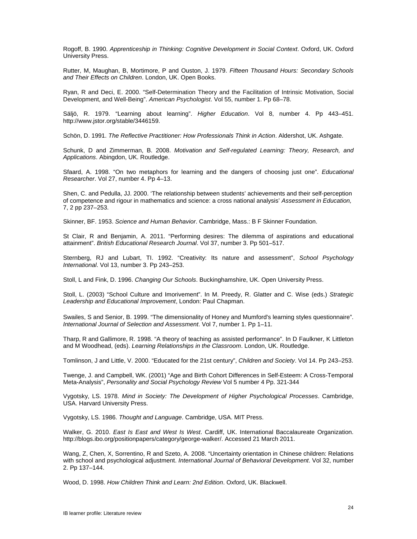Rogoff, B. 1990. *Apprenticeship in Thinking: Cognitive Development in Social Context*. Oxford, UK. Oxford University Press.

Rutter, M, Maughan, B, Mortimore, P and Ouston, J. 1979. *Fifteen Thousand Hours: Secondary Schools and Their Effects on Children*. London, UK. Open Books.

Ryan, R and Deci, E. 2000. "Self-Determination Theory and the Facilitation of Intrinsic Motivation, Social Development, and Well-Being". *American Psychologist*. Vol 55, number 1. Pp 68–78.

Säljö, R. 1979. "Learning about learning". *Higher Education*. Vol 8, number 4. Pp 443–451. http://www.jstor.org/stable/3446159.

Schön, D. 1991. *The Reflective Practitioner: How Professionals Think in Action*. Aldershot, UK. Ashgate.

Schunk, D and Zimmerman, B. 2008. *Motivation and Self-regulated Learning: Theory, Research, and Applications*. Abingdon, UK. Routledge.

Sfaard, A. 1998. "On two metaphors for learning and the dangers of choosing just one". *Educational Researcher*. Vol 27, number 4. Pp 4–13.

Shen, C. and Pedulla, JJ. 2000. 'The relationship between students' achievements and their self-perception of competence and rigour in mathematics and science: a cross national analysis' *Assessment in Education,*  7, 2 pp 237–253.

Skinner, BF. 1953. *Science and Human Behavior*. Cambridge, Mass.: B F Skinner Foundation.

St Clair, R and Benjamin, A. 2011. "Performing desires: The dilemma of aspirations and educational attainment". *British Educational Research Journal*. Vol 37, number 3. Pp 501–517.

Sternberg, RJ and Lubart, TI. 1992. "Creativity: Its nature and assessment", *School Psychology International*. Vol 13, number 3. Pp 243–253.

Stoll, L and Fink, D. 1996. *Changing Our Schools*. Buckinghamshire, UK. Open University Press.

Stoll, L. (2003) "School Culture and Imorivement". In M. Preedy, R. Glatter and C. Wise (eds.) *Strategic Leadership and Educational Improvement*, London: Paul Chapman.

Swailes, S and Senior, B. 1999. "The dimensionality of Honey and Mumford's learning styles questionnaire". *International Journal of Selection and Assessment*. Vol 7, number 1. Pp 1–11.

Tharp, R and Gallimore, R. 1998. "A theory of teaching as assisted performance". In D Faulkner, K Littleton and M Woodhead, (eds). *Learning Relationships in the Classroom*. London, UK. Routledge.

Tomlinson, J and Little, V. 2000. "Educated for the 21st century", *Children and Society*. Vol 14. Pp 243–253.

Twenge, J. and Campbell, WK. (2001) "Age and Birth Cohort Differences in Self-Esteem: A Cross-Temporal Meta-Analysis", *Personality and Social Psychology Review* Vol 5 number 4 Pp. 321-344

Vygotsky, LS. 1978. *Mind in Society: The Development of Higher Psychological Processes*. Cambridge, USA. Harvard University Press.

Vygotsky, LS. 1986. *Thought and Language*. Cambridge, USA. MIT Press.

Walker, G. 2010. *East Is East and West Is West*. Cardiff, UK. International Baccalaureate Organization. http://blogs.ibo.org/positionpapers/category/george-walker/. Accessed 21 March 2011.

Wang, Z, Chen, X, Sorrentino, R and Szeto, A. 2008. "Uncertainty orientation in Chinese children: Relations with school and psychological adjustment. *International Journal of Behavioral Development*. Vol 32, number 2. Pp 137–144.

Wood, D. 1998. *How Children Think and Learn: 2nd Edition*. Oxford, UK. Blackwell.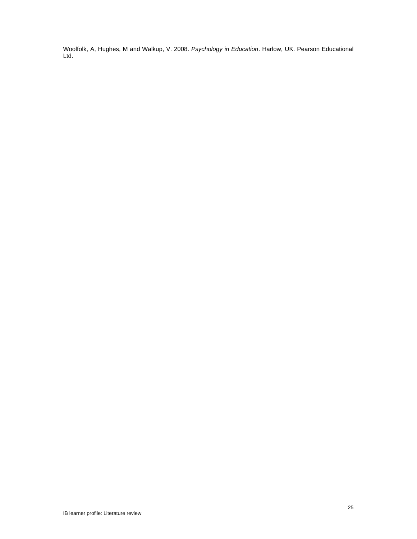Woolfolk, A, Hughes, M and Walkup, V. 2008. *Psychology in Education*. Harlow, UK. Pearson Educational Ltd.